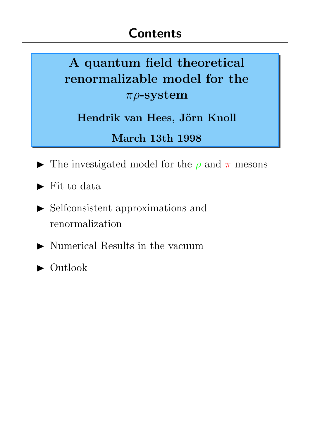# A quantum field theoretical renormalizable model for the  $\pi\rho$ -system

Hendrik van Hees, Jörn Knoll

March 13th 1998

- The investigated model for the  $\rho$  and  $\pi$  mesons
- $\blacktriangleright$  Fit to data
- $\blacktriangleright$  Selfconsistent approximations and renormalization
- $\blacktriangleright$  Numerical Results in the vacuum
- $\blacktriangleright$  Outlook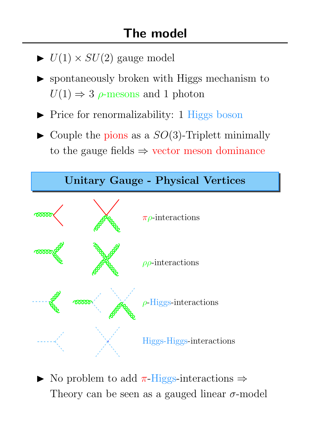- $\blacktriangleright$   $U(1) \times SU(2)$  gauge model
- spontaneously broken with Higgs mechanism to  $U(1) \Rightarrow 3$   $\rho$ -mesons and 1 photon
- **Price for renormalizability: 1 Higgs boson**
- $\blacktriangleright$  Couple the pions as a  $SO(3)$ -Triplett minimally to the gauge fields  $\Rightarrow$  vector meson dominance



 $\triangleright$  No problem to add π-Higgs-interactions  $\Rightarrow$ Theory can be seen as a gauged linear  $\sigma$ -model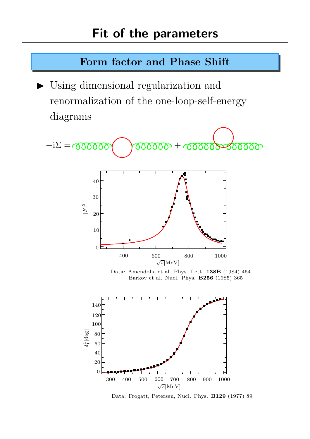### Form factor and Phase Shift

 $\triangleright$  Using dimensional regularization and renormalization of the one-loop-self-energy diagrams



Data: Amendolia et al. Phys. Lett. 138B (1984) 454 Barkov et al. Nucl. Phys. B256 (1985) 365



Data: Frogatt, Petersen, Nucl. Phys. B129 (1977) 89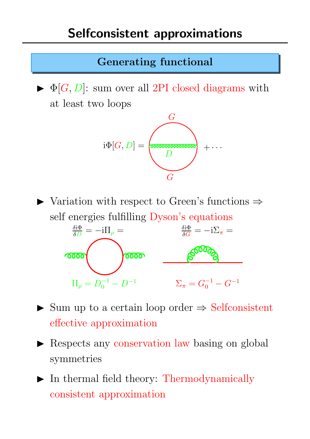#### Generating functional

 $\blacktriangleright$   $\Phi[G, D]$ : sum over all 2PI closed diagrams with at least two loops



 $\triangleright$  Variation with respect to Green's functions  $\Rightarrow$ self energies fulfilling Dyson's equations



- $\triangleright$  Sum up to a certain loop order  $\Rightarrow$  Selfconsistent effective approximation
- **In Respects any conservation law basing on global** symmetries
- $\blacktriangleright$  In thermal field theory: Thermodynamically consistent approximation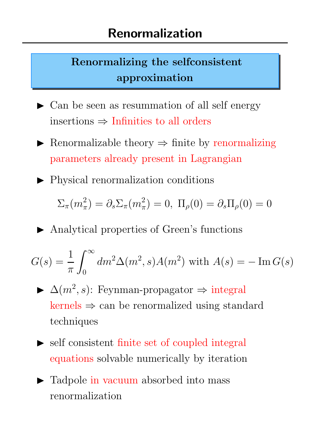## Renormalizing the selfconsistent approximation

- $\blacktriangleright$  Can be seen as resummation of all self energy insertions  $\Rightarrow$  Infinities to all orders
- $\triangleright$  Renormalizable theory  $\Rightarrow$  finite by renormalizing parameters already present in Lagrangian
- $\blacktriangleright$  Physical renormalization conditions

$$
\Sigma_{\pi}(m_{\pi}^2) = \partial_s \Sigma_{\pi}(m_{\pi}^2) = 0, \; \Pi_{\rho}(0) = \partial_s \Pi_{\rho}(0) = 0
$$

▶ Analytical properties of Green's functions

$$
G(s) = \frac{1}{\pi} \int_0^\infty dm^2 \Delta(m^2, s) A(m^2)
$$
 with  $A(s) = -\text{Im } G(s)$ 

- $\blacktriangleright$   $\Delta(m^2, s)$ : Feynman-propagator  $\Rightarrow$  integral  $k$ ernels  $\Rightarrow$  can be renormalized using standard techniques
- $\triangleright$  self consistent finite set of coupled integral equations solvable numerically by iteration
- Tadpole in vacuum absorbed into mass renormalization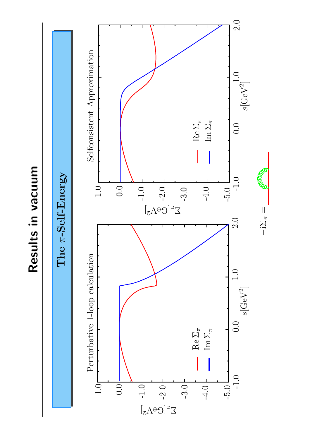Results in vacuum Results in vacuum

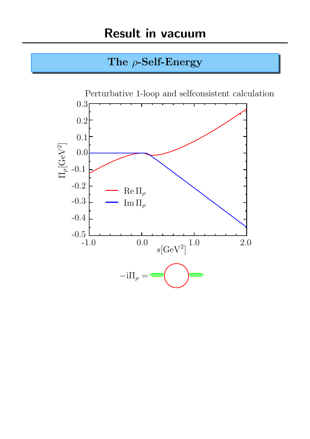### The  $\rho$ -Self-Energy